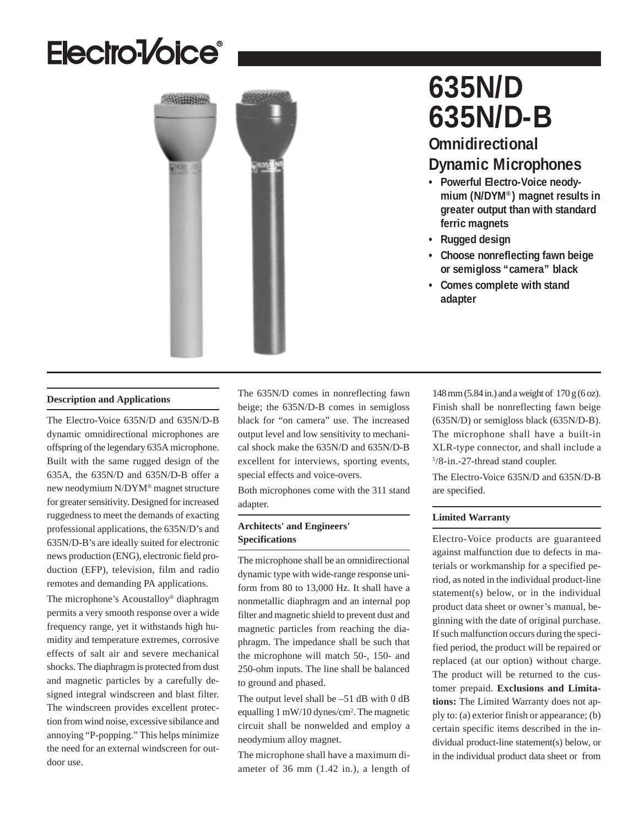# Electro<sup>1</sup>/oice<sup>®</sup>



## **635N/D 635N/D-B**

## **Omnidirectional Dynamic Microphones**

- **Powerful Electro-Voice neodymium (N/DYM®) magnet results in greater output than with standard ferric magnets**
- **Rugged design**
- **Choose nonreflecting fawn beige or semigloss "camera" black**
- **Comes complete with stand adapter**

#### **Description and Applications**

The Electro-Voice 635N/D and 635N/D-B dynamic omnidirectional microphones are offspring of the legendary 635A microphone. Built with the same rugged design of the 635A, the 635N/D and 635N/D-B offer a new neodymium N/DYM® magnet structure for greater sensitivity. Designed for increased ruggedness to meet the demands of exacting professional applications, the 635N/D's and 635N/D-B's are ideally suited for electronic news production (ENG), electronic field production (EFP), television, film and radio remotes and demanding PA applications.

The microphone's Acoustalloy® diaphragm permits a very smooth response over a wide frequency range, yet it withstands high humidity and temperature extremes, corrosive effects of salt air and severe mechanical shocks. The diaphragm is protected from dust and magnetic particles by a carefully designed integral windscreen and blast filter. The windscreen provides excellent protection from wind noise, excessive sibilance and annoying "P-popping." This helps minimize the need for an external windscreen for outdoor use.

The 635N/D comes in nonreflecting fawn beige; the 635N/D-B comes in semigloss black for "on camera" use. The increased output level and low sensitivity to mechanical shock make the 635N/D and 635N/D-B excellent for interviews, sporting events, special effects and voice-overs.

Both microphones come with the 311 stand adapter.

#### **Architects' and Engineers' Specifications**

The microphone shall be an omnidirectional dynamic type with wide-range response uniform from 80 to 13,000 Hz. It shall have a nonmetallic diaphragm and an internal pop filter and magnetic shield to prevent dust and magnetic particles from reaching the diaphragm. The impedance shall be such that the microphone will match 50-, 150- and 250-ohm inputs. The line shall be balanced to ground and phased.

The output level shall be –51 dB with 0 dB equalling 1 mW/10 dynes/cm<sup>2</sup>. The magnetic circuit shall be nonwelded and employ a neodymium alloy magnet.

The microphone shall have a maximum diameter of 36 mm (1.42 in.), a length of 148 mm (5.84 in.) and a weight of 170 g (6 oz). Finish shall be nonreflecting fawn beige (635N/D) or semigloss black (635N/D-B). The microphone shall have a built-in XLR-type connector, and shall include a 5 /8-in.-27-thread stand coupler.

The Electro-Voice 635N/D and 635N/D-B are specified.

#### **Limited Warranty**

Electro-Voice products are guaranteed against malfunction due to defects in materials or workmanship for a specified period, as noted in the individual product-line statement(s) below, or in the individual product data sheet or owner's manual, beginning with the date of original purchase. If such malfunction occurs during the specified period, the product will be repaired or replaced (at our option) without charge. The product will be returned to the customer prepaid. **Exclusions and Limitations:** The Limited Warranty does not apply to: (a) exterior finish or appearance; (b) certain specific items described in the individual product-line statement(s) below, or in the individual product data sheet or from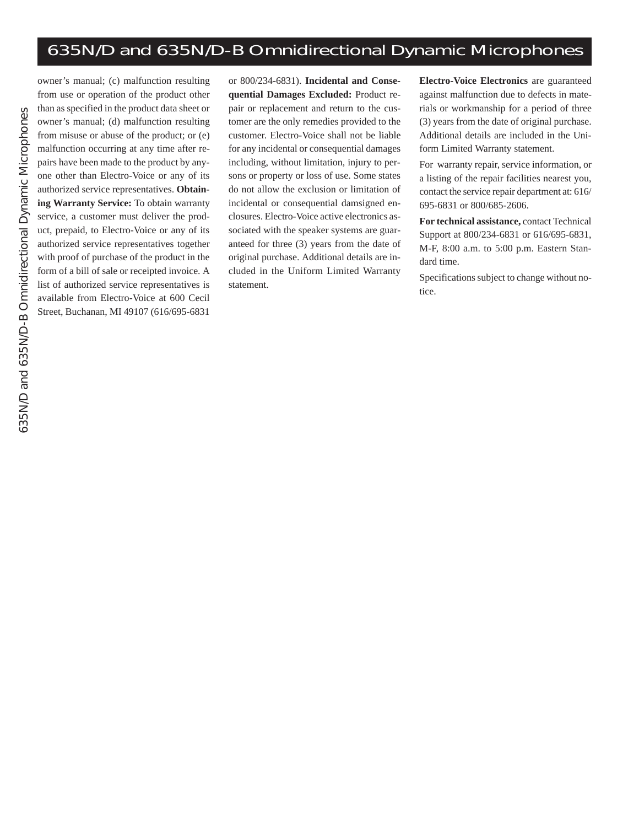## 635N/D and 635N/D-B Omnidirectional Dynamic Microphones

owner's manual; (c) malfunction resulting from use or operation of the product other than as specified in the product data sheet or owner's manual; (d) malfunction resulting from misuse or abuse of the product; or (e) malfunction occurring at any time after repairs have been made to the product by anyone other than Electro-Voice or any of its authorized service representatives. **Obtaining Warranty Service:** To obtain warranty service, a customer must deliver the product, prepaid, to Electro-Voice or any of its authorized service representatives together with proof of purchase of the product in the form of a bill of sale or receipted invoice. A list of authorized service representatives is available from Electro-Voice at 600 Cecil Street, Buchanan, MI 49107 (616/695-6831

or 800/234-6831). **Incidental and Consequential Damages Excluded:** Product repair or replacement and return to the customer are the only remedies provided to the customer. Electro-Voice shall not be liable for any incidental or consequential damages including, without limitation, injury to persons or property or loss of use. Some states do not allow the exclusion or limitation of incidental or consequential damsigned enclosures. Electro-Voice active electronics associated with the speaker systems are guaranteed for three (3) years from the date of original purchase. Additional details are included in the Uniform Limited Warranty statement.

**Electro-Voice Electronics** are guaranteed against malfunction due to defects in materials or workmanship for a period of three (3) years from the date of original purchase. Additional details are included in the Uniform Limited Warranty statement.

For warranty repair, service information, or a listing of the repair facilities nearest you, contact the service repair department at: 616/ 695-6831 or 800/685-2606.

**For technical assistance,** contact Technical Support at 800/234-6831 or 616/695-6831, M-F, 8:00 a.m. to 5:00 p.m. Eastern Standard time.

Specifications subject to change without notice.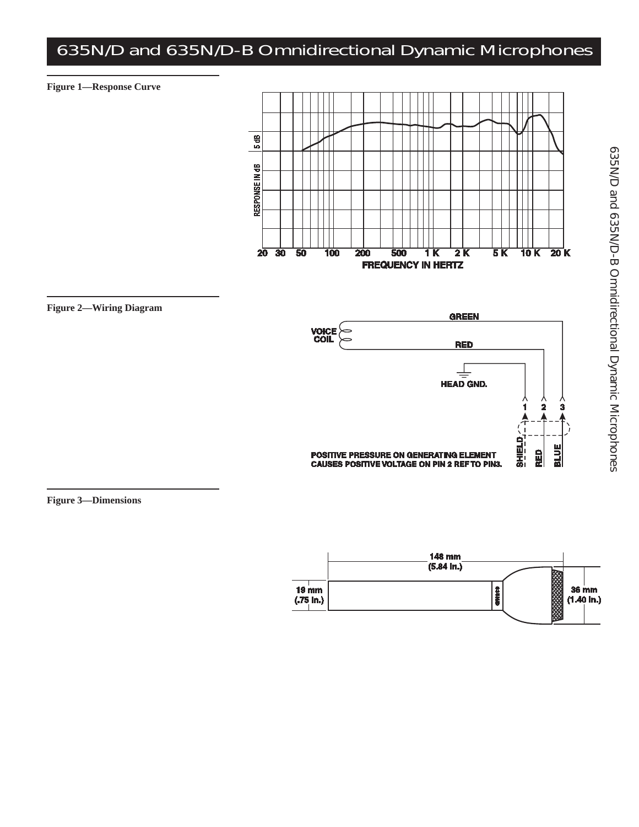## 635N/D and 635N/D-B Omnidirectional Dynamic Microphones









**Figure 3—Dimensions**